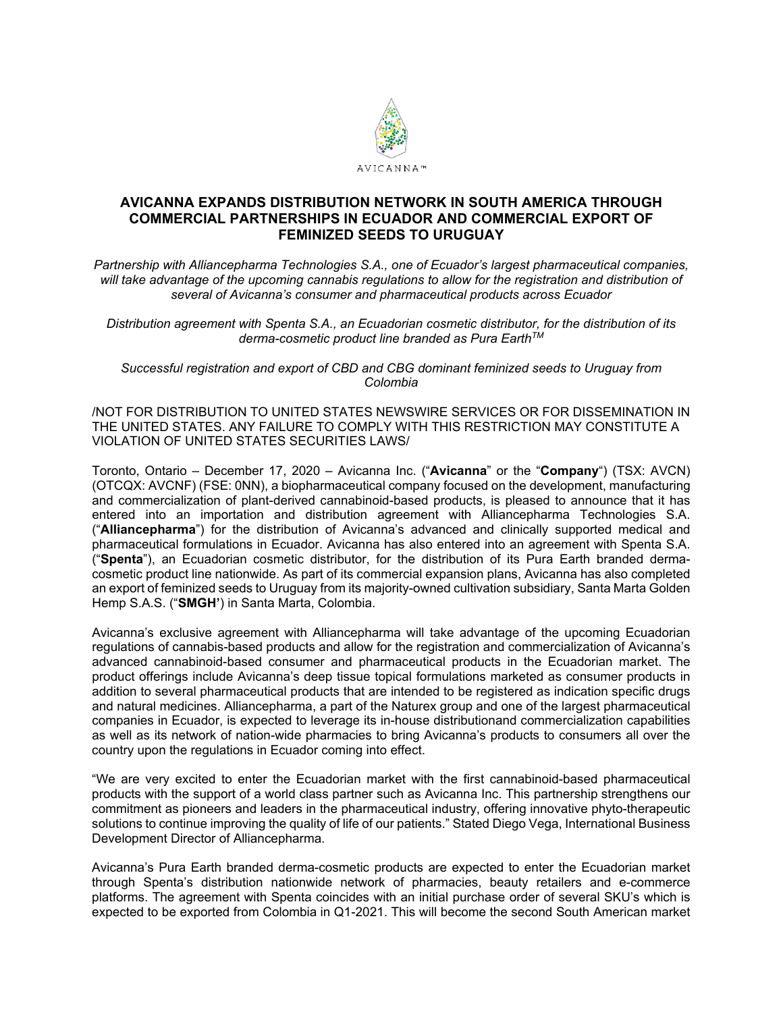

## **AVICANNA EXPANDS DISTRIBUTION NETWORK IN SOUTH AMERICA THROUGH COMMERCIAL PARTNERSHIPS IN ECUADOR AND COMMERCIAL EXPORT OF FEMINIZED SEEDS TO URUGUAY**

*Partnership with Alliancepharma Technologies S.A., one of Ecuador's largest pharmaceutical companies, will take advantage of the upcoming cannabis regulations to allow for the registration and distribution of several of Avicanna's consumer and pharmaceutical products across Ecuador*

*Distribution agreement with Spenta S.A., an Ecuadorian cosmetic distributor, for the distribution of its derma-cosmetic product line branded as Pura EarthTM*

*Successful registration and export of CBD and CBG dominant feminized seeds to Uruguay from Colombia* 

/NOT FOR DISTRIBUTION TO UNITED STATES NEWSWIRE SERVICES OR FOR DISSEMINATION IN THE UNITED STATES. ANY FAILURE TO COMPLY WITH THIS RESTRICTION MAY CONSTITUTE A VIOLATION OF UNITED STATES SECURITIES LAWS/

Toronto, Ontario – December 17, 2020 – Avicanna Inc. ("**Avicanna**" or the "**Company**") (TSX: AVCN) (OTCQX: AVCNF) (FSE: 0NN), a biopharmaceutical company focused on the development, manufacturing and commercialization of plant-derived cannabinoid-based products, is pleased to announce that it has entered into an importation and distribution agreement with Alliancepharma Technologies S.A. ("**Alliancepharma**") for the distribution of Avicanna's advanced and clinically supported medical and pharmaceutical formulations in Ecuador. Avicanna has also entered into an agreement with Spenta S.A. ("**Spenta**"), an Ecuadorian cosmetic distributor, for the distribution of its Pura Earth branded dermacosmetic product line nationwide. As part of its commercial expansion plans, Avicanna has also completed an export of feminized seeds to Uruguay from its majority-owned cultivation subsidiary, Santa Marta Golden Hemp S.A.S. ("**SMGH'**) in Santa Marta, Colombia.

Avicanna's exclusive agreement with Alliancepharma will take advantage of the upcoming Ecuadorian regulations of cannabis-based products and allow for the registration and commercialization of Avicanna's advanced cannabinoid-based consumer and pharmaceutical products in the Ecuadorian market. The product offerings include Avicanna's deep tissue topical formulations marketed as consumer products in addition to several pharmaceutical products that are intended to be registered as indication specific drugs and natural medicines. Alliancepharma, a part of the Naturex group and one of the largest pharmaceutical companies in Ecuador, is expected to leverage its in-house distributionand commercialization capabilities as well as its network of nation-wide pharmacies to bring Avicanna's products to consumers all over the country upon the regulations in Ecuador coming into effect.

"We are very excited to enter the Ecuadorian market with the first cannabinoid-based pharmaceutical products with the support of a world class partner such as Avicanna Inc. This partnership strengthens our commitment as pioneers and leaders in the pharmaceutical industry, offering innovative phyto-therapeutic solutions to continue improving the quality of life of our patients." Stated Diego Vega, International Business Development Director of Alliancepharma.

Avicanna's Pura Earth branded derma-cosmetic products are expected to enter the Ecuadorian market through Spenta's distribution nationwide network of pharmacies, beauty retailers and e-commerce platforms. The agreement with Spenta coincides with an initial purchase order of several SKU's which is expected to be exported from Colombia in Q1-2021. This will become the second South American market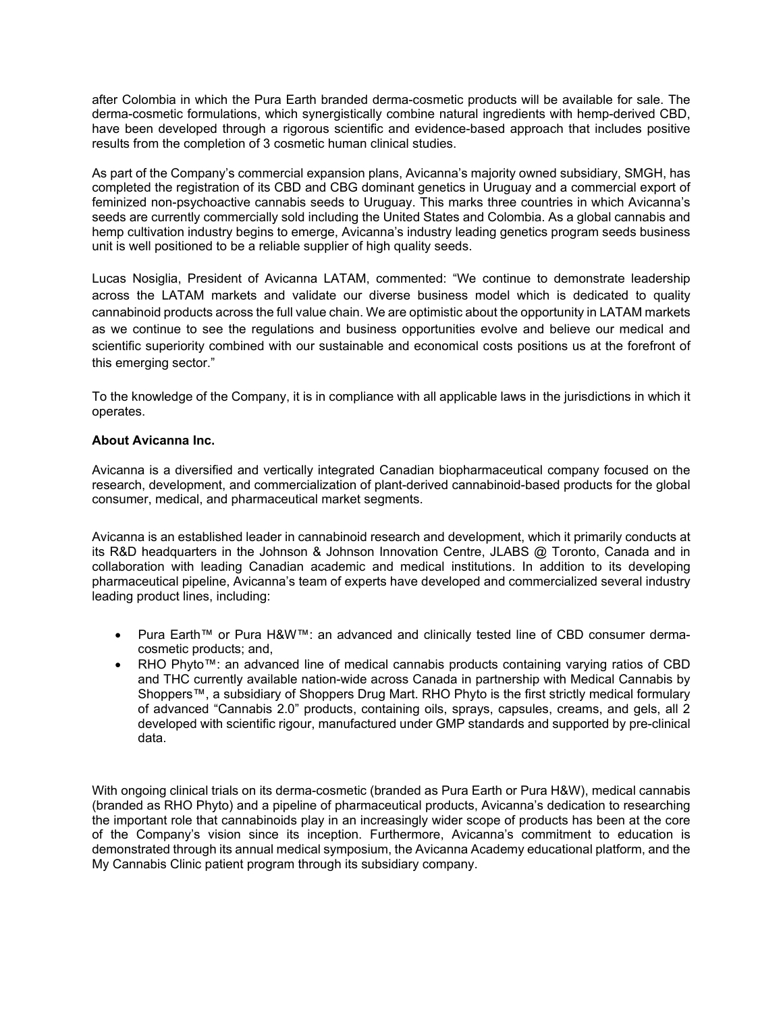after Colombia in which the Pura Earth branded derma-cosmetic products will be available for sale. The derma-cosmetic formulations, which synergistically combine natural ingredients with hemp-derived CBD, have been developed through a rigorous scientific and evidence-based approach that includes positive results from the completion of 3 cosmetic human clinical studies.

As part of the Company's commercial expansion plans, Avicanna's majority owned subsidiary, SMGH, has completed the registration of its CBD and CBG dominant genetics in Uruguay and a commercial export of feminized non-psychoactive cannabis seeds to Uruguay. This marks three countries in which Avicanna's seeds are currently commercially sold including the United States and Colombia. As a global cannabis and hemp cultivation industry begins to emerge, Avicanna's industry leading genetics program seeds business unit is well positioned to be a reliable supplier of high quality seeds.

Lucas Nosiglia, President of Avicanna LATAM, commented: "We continue to demonstrate leadership across the LATAM markets and validate our diverse business model which is dedicated to quality cannabinoid products across the full value chain. We are optimistic about the opportunity in LATAM markets as we continue to see the regulations and business opportunities evolve and believe our medical and scientific superiority combined with our sustainable and economical costs positions us at the forefront of this emerging sector."

To the knowledge of the Company, it is in compliance with all applicable laws in the jurisdictions in which it operates.

## **About Avicanna Inc.**

Avicanna is a diversified and vertically integrated Canadian biopharmaceutical company focused on the research, development, and commercialization of plant-derived cannabinoid-based products for the global consumer, medical, and pharmaceutical market segments.

Avicanna is an established leader in cannabinoid research and development, which it primarily conducts at its R&D headquarters in the Johnson & Johnson Innovation Centre, JLABS @ Toronto, Canada and in collaboration with leading Canadian academic and medical institutions. In addition to its developing pharmaceutical pipeline, Avicanna's team of experts have developed and commercialized several industry leading product lines, including:

- Pura Earth™ or Pura H&W™: an advanced and clinically tested line of CBD consumer dermacosmetic products; and,
- RHO Phyto™: an advanced line of medical cannabis products containing varying ratios of CBD and THC currently available nation-wide across Canada in partnership with Medical Cannabis by Shoppers™, a subsidiary of Shoppers Drug Mart. RHO Phyto is the first strictly medical formulary of advanced "Cannabis 2.0" products, containing oils, sprays, capsules, creams, and gels, all 2 developed with scientific rigour, manufactured under GMP standards and supported by pre-clinical data.

With ongoing clinical trials on its derma-cosmetic (branded as Pura Earth or Pura H&W), medical cannabis (branded as RHO Phyto) and a pipeline of pharmaceutical products, Avicanna's dedication to researching the important role that cannabinoids play in an increasingly wider scope of products has been at the core of the Company's vision since its inception. Furthermore, Avicanna's commitment to education is demonstrated through its annual medical symposium, the Avicanna Academy educational platform, and the My Cannabis Clinic patient program through its subsidiary company.